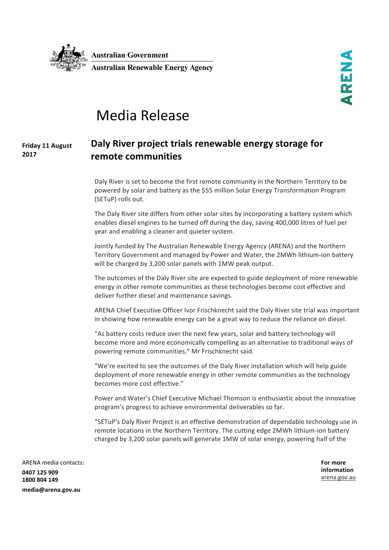

**Australian Government Australian Renewable Energy Agency** 

## Media Release

## **Friday 11 August 2017** Daly River project trials renewable energy storage for **remote communities**

Daly River is set to become the first remote community in the Northern Territory to be powered by solar and battery as the \$55 million Solar Energy Transformation Program (SETuP) rolls out.

The Daly River site differs from other solar sites by incorporating a battery system which enables diesel engines to be turned off during the day, saving 400,000 litres of fuel per year and enabling a cleaner and quieter system.

Jointly funded by The Australian Renewable Energy Agency (ARENA) and the Northern Territory Government and managed by Power and Water, the 2MWh lithium-ion battery will be charged by 3,200 solar panels with 1MW peak output.

The outcomes of the Daly River site are expected to guide deployment of more renewable energy in other remote communities as these technologies become cost effective and deliver further diesel and maintenance savings.

ARENA Chief Executive Officer Ivor Frischknecht said the Daly River site trial was important in showing how renewable energy can be a great way to reduce the reliance on diesel.

"As battery costs reduce over the next few years, solar and battery technology will become more and more economically compelling as an alternative to traditional ways of powering remote communities," Mr Frischknecht said.

"We're excited to see the outcomes of the Daly River installation which will help guide deployment of more renewable energy in other remote communities as the technology becomes more cost effective."

Power and Water's Chief Executive Michael Thomson is enthusiastic about the innovative program's progress to achieve environmental deliverables so far.

"SETuP's Daly River Project is an effective demonstration of dependable technology use in remote locations in the Northern Territory. The cutting edge 2MWh lithium-ion battery charged by 3,200 solar panels will generate 1MW of solar energy, powering half of the

ARENA media contacts: **0407 125 909 1800 804 149 media@arena.gov.au**

**For** more **information** arena.gov.au